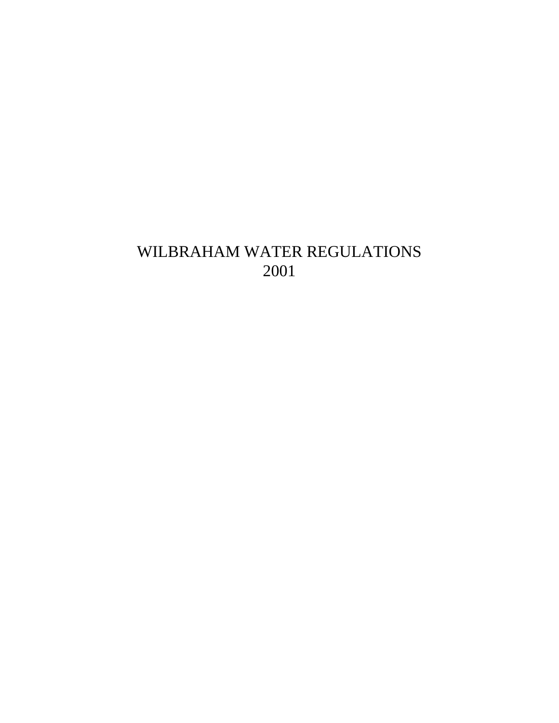# WILBRAHAM WATER REGULATIONS 2001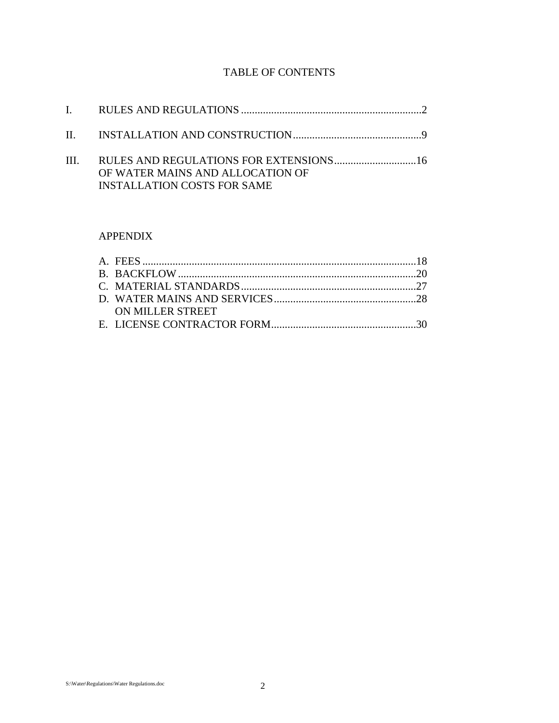## TABLE OF CONTENTS

| OF WATER MAINS AND ALLOCATION OF<br><b>INSTALLATION COSTS FOR SAME</b> |  |
|------------------------------------------------------------------------|--|

## APPENDIX

| ON MILLER STREET |  |
|------------------|--|
|                  |  |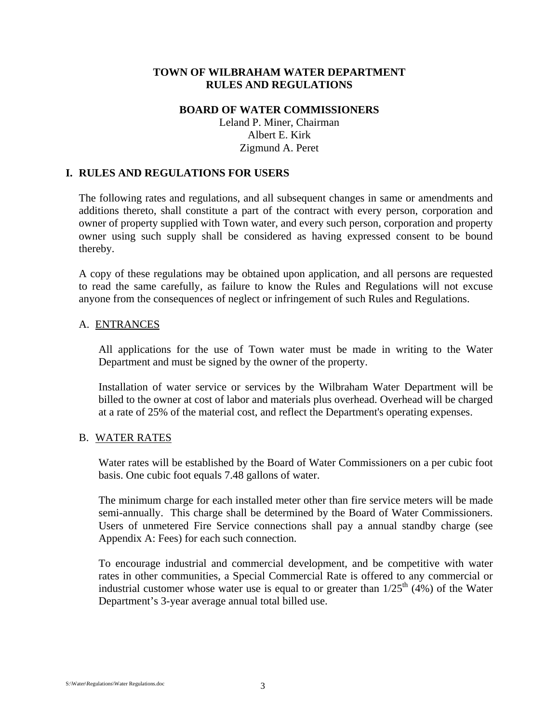#### **TOWN OF WILBRAHAM WATER DEPARTMENT RULES AND REGULATIONS**

## **BOARD OF WATER COMMISSIONERS**

Leland P. Miner, Chairman Albert E. Kirk Zigmund A. Peret

#### **I. RULES AND REGULATIONS FOR USERS**

The following rates and regulations, and all subsequent changes in same or amendments and additions thereto, shall constitute a part of the contract with every person, corporation and owner of property supplied with Town water, and every such person, corporation and property owner using such supply shall be considered as having expressed consent to be bound thereby.

A copy of these regulations may be obtained upon application, and all persons are requested to read the same carefully, as failure to know the Rules and Regulations will not excuse anyone from the consequences of neglect or infringement of such Rules and Regulations.

#### A. ENTRANCES

All applications for the use of Town water must be made in writing to the Water Department and must be signed by the owner of the property.

Installation of water service or services by the Wilbraham Water Department will be billed to the owner at cost of labor and materials plus overhead. Overhead will be charged at a rate of 25% of the material cost, and reflect the Department's operating expenses.

#### B. WATER RATES

Water rates will be established by the Board of Water Commissioners on a per cubic foot basis. One cubic foot equals 7.48 gallons of water.

The minimum charge for each installed meter other than fire service meters will be made semi-annually. This charge shall be determined by the Board of Water Commissioners. Users of unmetered Fire Service connections shall pay a annual standby charge (see Appendix A: Fees) for each such connection.

To encourage industrial and commercial development, and be competitive with water rates in other communities, a Special Commercial Rate is offered to any commercial or industrial customer whose water use is equal to or greater than  $1/25<sup>th</sup>$  (4%) of the Water Department's 3-year average annual total billed use.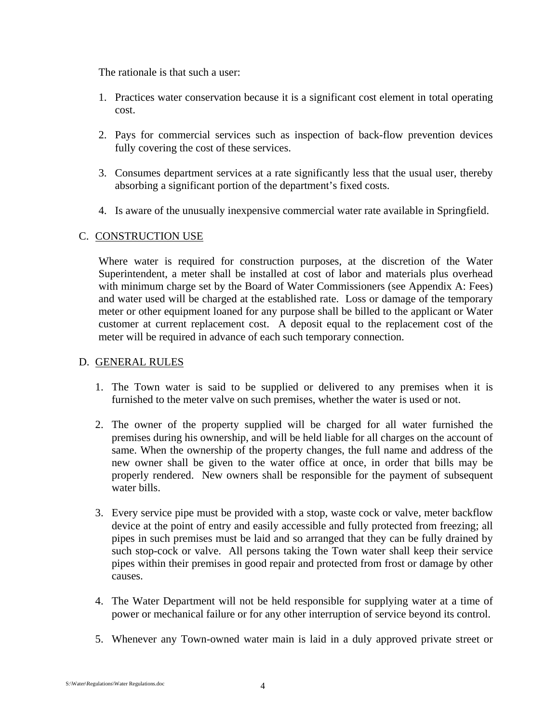The rationale is that such a user:

- 1. Practices water conservation because it is a significant cost element in total operating cost.
- 2. Pays for commercial services such as inspection of back-flow prevention devices fully covering the cost of these services.
- 3. Consumes department services at a rate significantly less that the usual user, thereby absorbing a significant portion of the department's fixed costs.
- 4. Is aware of the unusually inexpensive commercial water rate available in Springfield.

#### C. CONSTRUCTION USE

Where water is required for construction purposes, at the discretion of the Water Superintendent, a meter shall be installed at cost of labor and materials plus overhead with minimum charge set by the Board of Water Commissioners (see Appendix A: Fees) and water used will be charged at the established rate. Loss or damage of the temporary meter or other equipment loaned for any purpose shall be billed to the applicant or Water customer at current replacement cost. A deposit equal to the replacement cost of the meter will be required in advance of each such temporary connection.

#### D. GENERAL RULES

- 1. The Town water is said to be supplied or delivered to any premises when it is furnished to the meter valve on such premises, whether the water is used or not.
- 2. The owner of the property supplied will be charged for all water furnished the premises during his ownership, and will be held liable for all charges on the account of same. When the ownership of the property changes, the full name and address of the new owner shall be given to the water office at once, in order that bills may be properly rendered. New owners shall be responsible for the payment of subsequent water bills.
- 3. Every service pipe must be provided with a stop, waste cock or valve, meter backflow device at the point of entry and easily accessible and fully protected from freezing; all pipes in such premises must be laid and so arranged that they can be fully drained by such stop-cock or valve. All persons taking the Town water shall keep their service pipes within their premises in good repair and protected from frost or damage by other causes.
- 4. The Water Department will not be held responsible for supplying water at a time of power or mechanical failure or for any other interruption of service beyond its control.
- 5. Whenever any Town-owned water main is laid in a duly approved private street or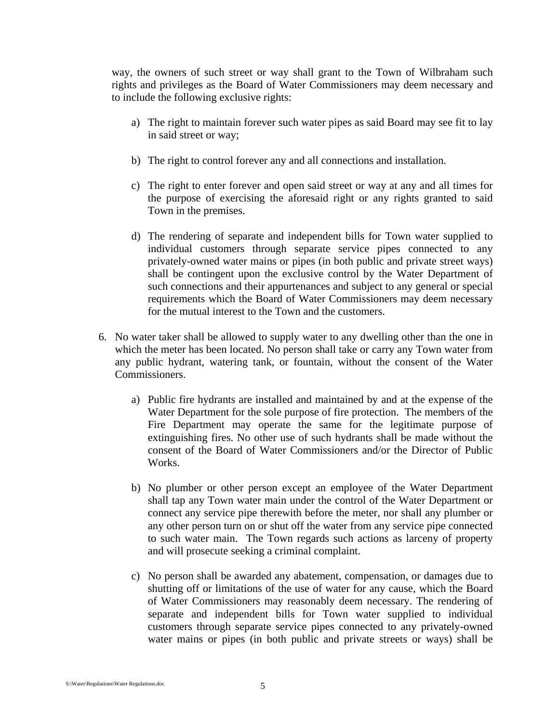way, the owners of such street or way shall grant to the Town of Wilbraham such rights and privileges as the Board of Water Commissioners may deem necessary and to include the following exclusive rights:

- a) The right to maintain forever such water pipes as said Board may see fit to lay in said street or way;
- b) The right to control forever any and all connections and installation.
- c) The right to enter forever and open said street or way at any and all times for the purpose of exercising the aforesaid right or any rights granted to said Town in the premises.
- d) The rendering of separate and independent bills for Town water supplied to individual customers through separate service pipes connected to any privately-owned water mains or pipes (in both public and private street ways) shall be contingent upon the exclusive control by the Water Department of such connections and their appurtenances and subject to any general or special requirements which the Board of Water Commissioners may deem necessary for the mutual interest to the Town and the customers.
- 6. No water taker shall be allowed to supply water to any dwelling other than the one in which the meter has been located. No person shall take or carry any Town water from any public hydrant, watering tank, or fountain, without the consent of the Water Commissioners.
	- a) Public fire hydrants are installed and maintained by and at the expense of the Water Department for the sole purpose of fire protection. The members of the Fire Department may operate the same for the legitimate purpose of extinguishing fires. No other use of such hydrants shall be made without the consent of the Board of Water Commissioners and/or the Director of Public Works.
	- b) No plumber or other person except an employee of the Water Department shall tap any Town water main under the control of the Water Department or connect any service pipe therewith before the meter, nor shall any plumber or any other person turn on or shut off the water from any service pipe connected to such water main. The Town regards such actions as larceny of property and will prosecute seeking a criminal complaint.
	- c) No person shall be awarded any abatement, compensation, or damages due to shutting off or limitations of the use of water for any cause, which the Board of Water Commissioners may reasonably deem necessary. The rendering of separate and independent bills for Town water supplied to individual customers through separate service pipes connected to any privately-owned water mains or pipes (in both public and private streets or ways) shall be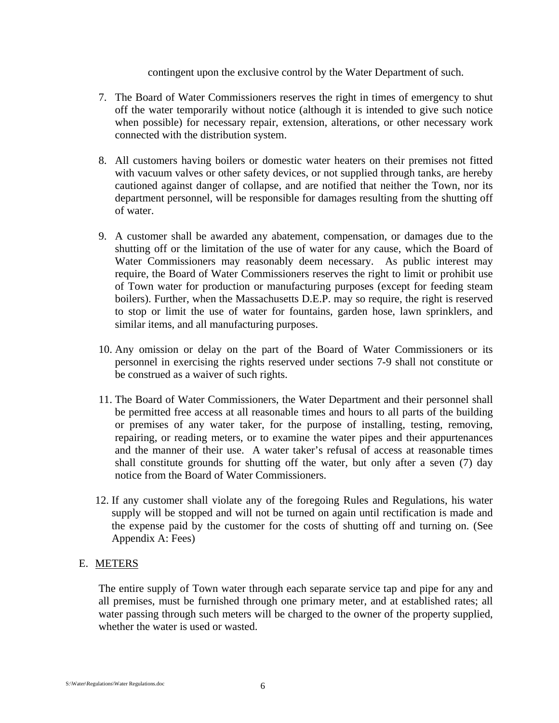contingent upon the exclusive control by the Water Department of such.

- 7. The Board of Water Commissioners reserves the right in times of emergency to shut off the water temporarily without notice (although it is intended to give such notice when possible) for necessary repair, extension, alterations, or other necessary work connected with the distribution system.
- 8. All customers having boilers or domestic water heaters on their premises not fitted with vacuum valves or other safety devices, or not supplied through tanks, are hereby cautioned against danger of collapse, and are notified that neither the Town, nor its department personnel, will be responsible for damages resulting from the shutting off of water.
- 9. A customer shall be awarded any abatement, compensation, or damages due to the shutting off or the limitation of the use of water for any cause, which the Board of Water Commissioners may reasonably deem necessary. As public interest may require, the Board of Water Commissioners reserves the right to limit or prohibit use of Town water for production or manufacturing purposes (except for feeding steam boilers). Further, when the Massachusetts D.E.P. may so require, the right is reserved to stop or limit the use of water for fountains, garden hose, lawn sprinklers, and similar items, and all manufacturing purposes.
- 10. Any omission or delay on the part of the Board of Water Commissioners or its personnel in exercising the rights reserved under sections 7-9 shall not constitute or be construed as a waiver of such rights.
- 11. The Board of Water Commissioners, the Water Department and their personnel shall be permitted free access at all reasonable times and hours to all parts of the building or premises of any water taker, for the purpose of installing, testing, removing, repairing, or reading meters, or to examine the water pipes and their appurtenances and the manner of their use. A water taker's refusal of access at reasonable times shall constitute grounds for shutting off the water, but only after a seven (7) day notice from the Board of Water Commissioners.
- 12. If any customer shall violate any of the foregoing Rules and Regulations, his water supply will be stopped and will not be turned on again until rectification is made and the expense paid by the customer for the costs of shutting off and turning on. (See Appendix A: Fees)

#### E. METERS

The entire supply of Town water through each separate service tap and pipe for any and all premises, must be furnished through one primary meter, and at established rates; all water passing through such meters will be charged to the owner of the property supplied, whether the water is used or wasted.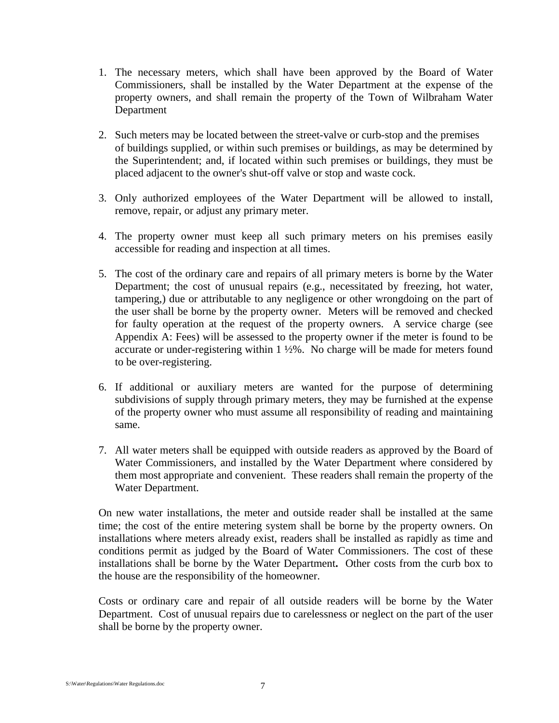- 1. The necessary meters, which shall have been approved by the Board of Water Commissioners, shall be installed by the Water Department at the expense of the property owners, and shall remain the property of the Town of Wilbraham Water Department
- 2. Such meters may be located between the street-valve or curb-stop and the premises of buildings supplied, or within such premises or buildings, as may be determined by the Superintendent; and, if located within such premises or buildings, they must be placed adjacent to the owner's shut-off valve or stop and waste cock.
- 3. Only authorized employees of the Water Department will be allowed to install, remove, repair, or adjust any primary meter.
- 4. The property owner must keep all such primary meters on his premises easily accessible for reading and inspection at all times.
- 5. The cost of the ordinary care and repairs of all primary meters is borne by the Water Department; the cost of unusual repairs (e.g., necessitated by freezing, hot water, tampering,) due or attributable to any negligence or other wrongdoing on the part of the user shall be borne by the property owner. Meters will be removed and checked for faulty operation at the request of the property owners. A service charge (see Appendix A: Fees) will be assessed to the property owner if the meter is found to be accurate or under-registering within 1 ½%. No charge will be made for meters found to be over-registering.
- 6. If additional or auxiliary meters are wanted for the purpose of determining subdivisions of supply through primary meters, they may be furnished at the expense of the property owner who must assume all responsibility of reading and maintaining same.
- 7. All water meters shall be equipped with outside readers as approved by the Board of Water Commissioners, and installed by the Water Department where considered by them most appropriate and convenient. These readers shall remain the property of the Water Department.

On new water installations, the meter and outside reader shall be installed at the same time; the cost of the entire metering system shall be borne by the property owners. On installations where meters already exist, readers shall be installed as rapidly as time and conditions permit as judged by the Board of Water Commissioners. The cost of these installations shall be borne by the Water Department**.** Other costs from the curb box to the house are the responsibility of the homeowner.

Costs or ordinary care and repair of all outside readers will be borne by the Water Department. Cost of unusual repairs due to carelessness or neglect on the part of the user shall be borne by the property owner.

S:\Water\Regulations\Water Regulations.doc 7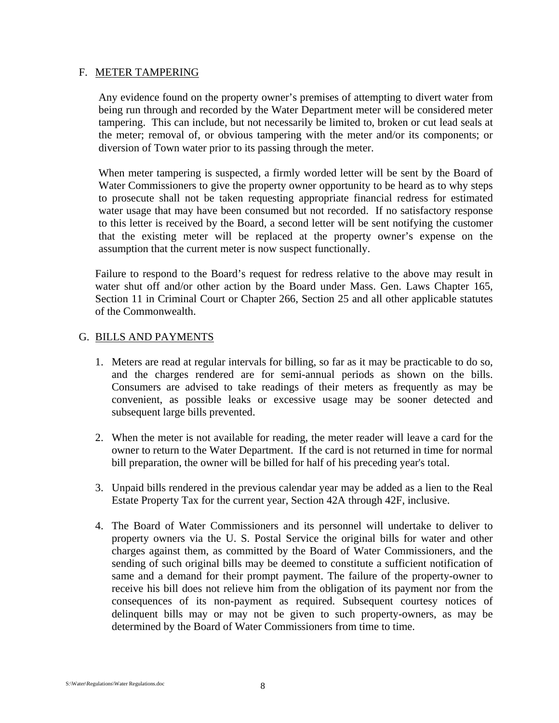#### F. METER TAMPERING

Any evidence found on the property owner's premises of attempting to divert water from being run through and recorded by the Water Department meter will be considered meter tampering. This can include, but not necessarily be limited to, broken or cut lead seals at the meter; removal of, or obvious tampering with the meter and/or its components; or diversion of Town water prior to its passing through the meter.

When meter tampering is suspected, a firmly worded letter will be sent by the Board of Water Commissioners to give the property owner opportunity to be heard as to why steps to prosecute shall not be taken requesting appropriate financial redress for estimated water usage that may have been consumed but not recorded. If no satisfactory response to this letter is received by the Board, a second letter will be sent notifying the customer that the existing meter will be replaced at the property owner's expense on the assumption that the current meter is now suspect functionally.

Failure to respond to the Board's request for redress relative to the above may result in water shut off and/or other action by the Board under Mass. Gen. Laws Chapter 165, Section 11 in Criminal Court or Chapter 266, Section 25 and all other applicable statutes of the Commonwealth.

#### G. BILLS AND PAYMENTS

- 1. Meters are read at regular intervals for billing, so far as it may be practicable to do so, and the charges rendered are for semi-annual periods as shown on the bills. Consumers are advised to take readings of their meters as frequently as may be convenient, as possible leaks or excessive usage may be sooner detected and subsequent large bills prevented.
- 2. When the meter is not available for reading, the meter reader will leave a card for the owner to return to the Water Department. If the card is not returned in time for normal bill preparation, the owner will be billed for half of his preceding year's total.
- 3. Unpaid bills rendered in the previous calendar year may be added as a lien to the Real Estate Property Tax for the current year, Section 42A through 42F, inclusive.
- 4. The Board of Water Commissioners and its personnel will undertake to deliver to property owners via the U. S. Postal Service the original bills for water and other charges against them, as committed by the Board of Water Commissioners, and the sending of such original bills may be deemed to constitute a sufficient notification of same and a demand for their prompt payment. The failure of the property-owner to receive his bill does not relieve him from the obligation of its payment nor from the consequences of its non-payment as required. Subsequent courtesy notices of delinquent bills may or may not be given to such property-owners, as may be determined by the Board of Water Commissioners from time to time.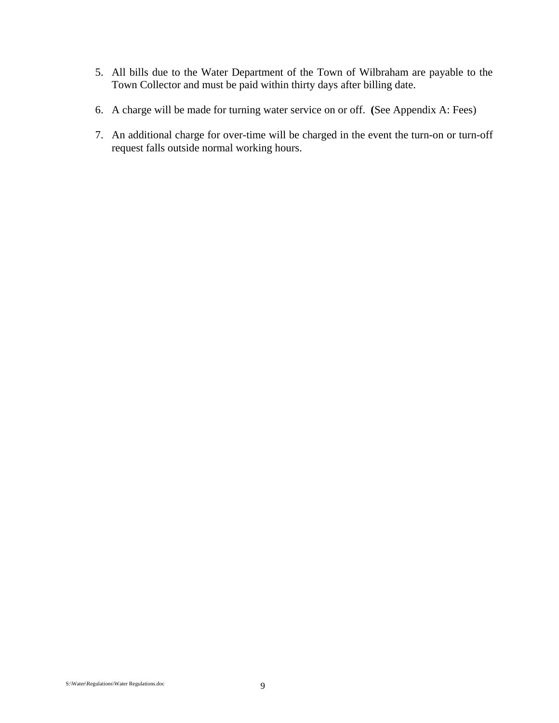- 5. All bills due to the Water Department of the Town of Wilbraham are payable to the Town Collector and must be paid within thirty days after billing date.
- 6. A charge will be made for turning water service on or off. **(**See Appendix A: Fees)
- 7. An additional charge for over-time will be charged in the event the turn-on or turn-off request falls outside normal working hours.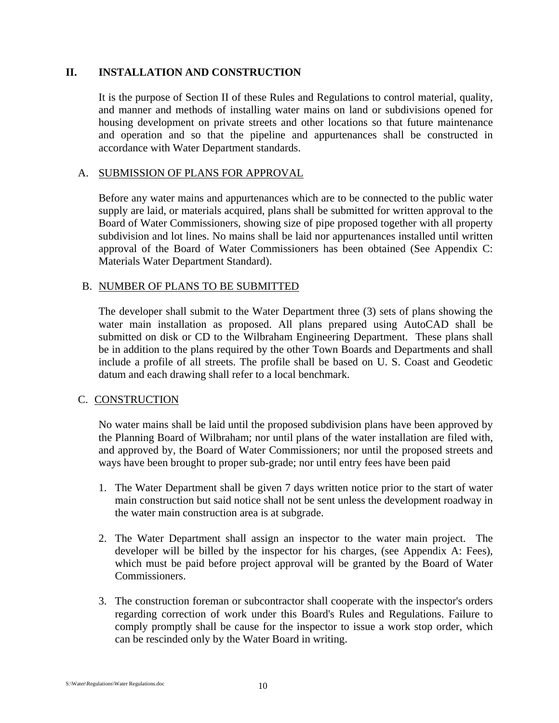#### **II. INSTALLATION AND CONSTRUCTION**

It is the purpose of Section II of these Rules and Regulations to control material, quality, and manner and methods of installing water mains on land or subdivisions opened for housing development on private streets and other locations so that future maintenance and operation and so that the pipeline and appurtenances shall be constructed in accordance with Water Department standards.

#### A. SUBMISSION OF PLANS FOR APPROVAL

Before any water mains and appurtenances which are to be connected to the public water supply are laid, or materials acquired, plans shall be submitted for written approval to the Board of Water Commissioners, showing size of pipe proposed together with all property subdivision and lot lines. No mains shall be laid nor appurtenances installed until written approval of the Board of Water Commissioners has been obtained (See Appendix C: Materials Water Department Standard).

#### B. NUMBER OF PLANS TO BE SUBMITTED

The developer shall submit to the Water Department three (3) sets of plans showing the water main installation as proposed. All plans prepared using AutoCAD shall be submitted on disk or CD to the Wilbraham Engineering Department. These plans shall be in addition to the plans required by the other Town Boards and Departments and shall include a profile of all streets. The profile shall be based on U. S. Coast and Geodetic datum and each drawing shall refer to a local benchmark.

#### C. CONSTRUCTION

No water mains shall be laid until the proposed subdivision plans have been approved by the Planning Board of Wilbraham; nor until plans of the water installation are filed with, and approved by, the Board of Water Commissioners; nor until the proposed streets and ways have been brought to proper sub-grade; nor until entry fees have been paid

- 1. The Water Department shall be given 7 days written notice prior to the start of water main construction but said notice shall not be sent unless the development roadway in the water main construction area is at subgrade.
- 2. The Water Department shall assign an inspector to the water main project. The developer will be billed by the inspector for his charges, (see Appendix A: Fees), which must be paid before project approval will be granted by the Board of Water Commissioners.
- 3. The construction foreman or subcontractor shall cooperate with the inspector's orders regarding correction of work under this Board's Rules and Regulations. Failure to comply promptly shall be cause for the inspector to issue a work stop order, which can be rescinded only by the Water Board in writing.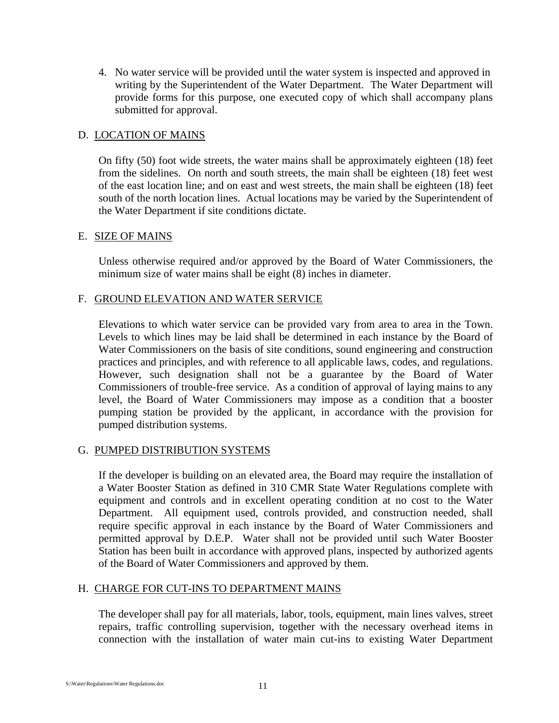4. No water service will be provided until the water system is inspected and approved in writing by the Superintendent of the Water Department. The Water Department will provide forms for this purpose, one executed copy of which shall accompany plans submitted for approval.

#### D. LOCATION OF MAINS

On fifty (50) foot wide streets, the water mains shall be approximately eighteen (18) feet from the sidelines. On north and south streets, the main shall be eighteen (18) feet west of the east location line; and on east and west streets, the main shall be eighteen (18) feet south of the north location lines. Actual locations may be varied by the Superintendent of the Water Department if site conditions dictate.

#### E. SIZE OF MAINS

Unless otherwise required and/or approved by the Board of Water Commissioners, the minimum size of water mains shall be eight (8) inches in diameter.

#### F. GROUND ELEVATION AND WATER SERVICE

Elevations to which water service can be provided vary from area to area in the Town. Levels to which lines may be laid shall be determined in each instance by the Board of Water Commissioners on the basis of site conditions, sound engineering and construction practices and principles, and with reference to all applicable laws, codes, and regulations. However, such designation shall not be a guarantee by the Board of Water Commissioners of trouble-free service. As a condition of approval of laying mains to any level, the Board of Water Commissioners may impose as a condition that a booster pumping station be provided by the applicant, in accordance with the provision for pumped distribution systems.

#### G. PUMPED DISTRIBUTION SYSTEMS

If the developer is building on an elevated area, the Board may require the installation of a Water Booster Station as defined in 310 CMR State Water Regulations complete with equipment and controls and in excellent operating condition at no cost to the Water Department. All equipment used, controls provided, and construction needed, shall require specific approval in each instance by the Board of Water Commissioners and permitted approval by D.E.P. Water shall not be provided until such Water Booster Station has been built in accordance with approved plans, inspected by authorized agents of the Board of Water Commissioners and approved by them.

#### H. CHARGE FOR CUT-INS TO DEPARTMENT MAINS

The developer shall pay for all materials, labor, tools, equipment, main lines valves, street repairs, traffic controlling supervision, together with the necessary overhead items in connection with the installation of water main cut-ins to existing Water Department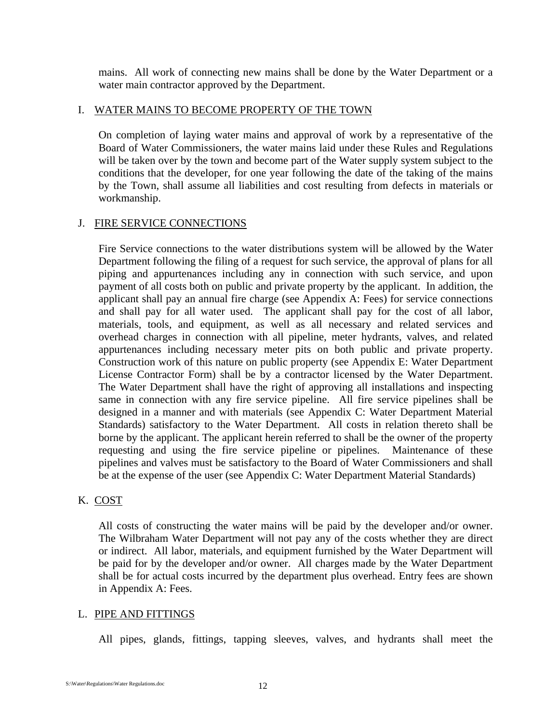mains. All work of connecting new mains shall be done by the Water Department or a water main contractor approved by the Department.

#### I. WATER MAINS TO BECOME PROPERTY OF THE TOWN

On completion of laying water mains and approval of work by a representative of the Board of Water Commissioners, the water mains laid under these Rules and Regulations will be taken over by the town and become part of the Water supply system subject to the conditions that the developer, for one year following the date of the taking of the mains by the Town, shall assume all liabilities and cost resulting from defects in materials or workmanship.

#### J. FIRE SERVICE CONNECTIONS

Fire Service connections to the water distributions system will be allowed by the Water Department following the filing of a request for such service, the approval of plans for all piping and appurtenances including any in connection with such service, and upon payment of all costs both on public and private property by the applicant. In addition, the applicant shall pay an annual fire charge (see Appendix A: Fees) for service connections and shall pay for all water used. The applicant shall pay for the cost of all labor, materials, tools, and equipment, as well as all necessary and related services and overhead charges in connection with all pipeline, meter hydrants, valves, and related appurtenances including necessary meter pits on both public and private property. Construction work of this nature on public property (see Appendix E: Water Department License Contractor Form) shall be by a contractor licensed by the Water Department. The Water Department shall have the right of approving all installations and inspecting same in connection with any fire service pipeline. All fire service pipelines shall be designed in a manner and with materials (see Appendix C: Water Department Material Standards) satisfactory to the Water Department. All costs in relation thereto shall be borne by the applicant. The applicant herein referred to shall be the owner of the property requesting and using the fire service pipeline or pipelines. Maintenance of these pipelines and valves must be satisfactory to the Board of Water Commissioners and shall be at the expense of the user (see Appendix C: Water Department Material Standards)

#### K. COST

All costs of constructing the water mains will be paid by the developer and/or owner. The Wilbraham Water Department will not pay any of the costs whether they are direct or indirect. All labor, materials, and equipment furnished by the Water Department will be paid for by the developer and/or owner. All charges made by the Water Department shall be for actual costs incurred by the department plus overhead. Entry fees are shown in Appendix A: Fees.

#### L. PIPE AND FITTINGS

All pipes, glands, fittings, tapping sleeves, valves, and hydrants shall meet the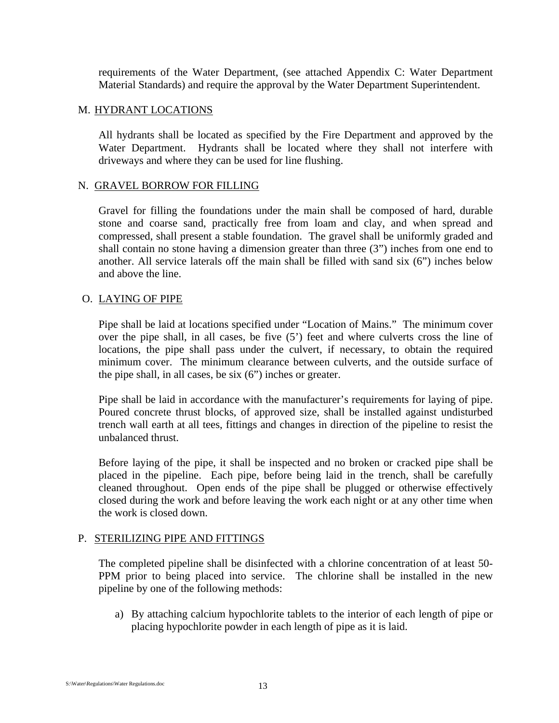requirements of the Water Department, (see attached Appendix C: Water Department Material Standards) and require the approval by the Water Department Superintendent.

#### M. HYDRANT LOCATIONS

All hydrants shall be located as specified by the Fire Department and approved by the Water Department. Hydrants shall be located where they shall not interfere with driveways and where they can be used for line flushing.

#### N. GRAVEL BORROW FOR FILLING

Gravel for filling the foundations under the main shall be composed of hard, durable stone and coarse sand, practically free from loam and clay, and when spread and compressed, shall present a stable foundation. The gravel shall be uniformly graded and shall contain no stone having a dimension greater than three (3") inches from one end to another. All service laterals off the main shall be filled with sand six (6") inches below and above the line.

#### O. LAYING OF PIPE

Pipe shall be laid at locations specified under "Location of Mains." The minimum cover over the pipe shall, in all cases, be five (5') feet and where culverts cross the line of locations, the pipe shall pass under the culvert, if necessary, to obtain the required minimum cover. The minimum clearance between culverts, and the outside surface of the pipe shall, in all cases, be six (6") inches or greater.

Pipe shall be laid in accordance with the manufacturer's requirements for laying of pipe. Poured concrete thrust blocks, of approved size, shall be installed against undisturbed trench wall earth at all tees, fittings and changes in direction of the pipeline to resist the unbalanced thrust.

Before laying of the pipe, it shall be inspected and no broken or cracked pipe shall be placed in the pipeline. Each pipe, before being laid in the trench, shall be carefully cleaned throughout. Open ends of the pipe shall be plugged or otherwise effectively closed during the work and before leaving the work each night or at any other time when the work is closed down.

#### P. STERILIZING PIPE AND FITTINGS

The completed pipeline shall be disinfected with a chlorine concentration of at least 50- PPM prior to being placed into service. The chlorine shall be installed in the new pipeline by one of the following methods:

a) By attaching calcium hypochlorite tablets to the interior of each length of pipe or placing hypochlorite powder in each length of pipe as it is laid.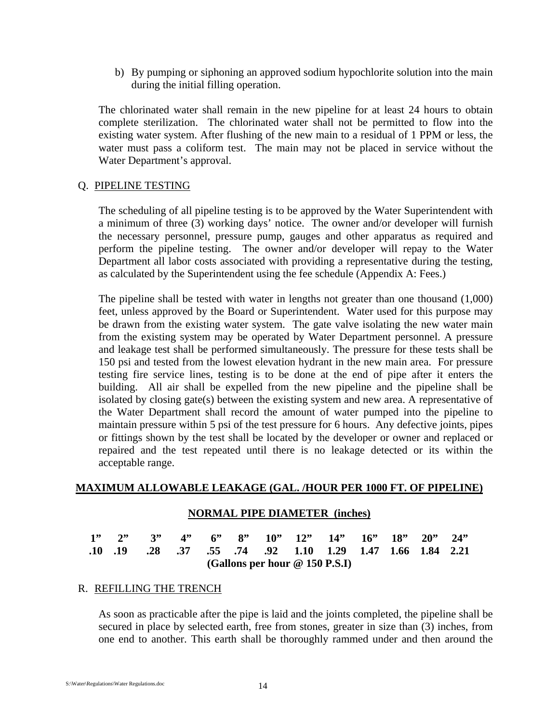b) By pumping or siphoning an approved sodium hypochlorite solution into the main during the initial filling operation.

The chlorinated water shall remain in the new pipeline for at least 24 hours to obtain complete sterilization. The chlorinated water shall not be permitted to flow into the existing water system. After flushing of the new main to a residual of 1 PPM or less, the water must pass a coliform test. The main may not be placed in service without the Water Department's approval.

#### Q. PIPELINE TESTING

The scheduling of all pipeline testing is to be approved by the Water Superintendent with a minimum of three (3) working days' notice. The owner and/or developer will furnish the necessary personnel, pressure pump, gauges and other apparatus as required and perform the pipeline testing. The owner and/or developer will repay to the Water Department all labor costs associated with providing a representative during the testing, as calculated by the Superintendent using the fee schedule (Appendix A: Fees.)

The pipeline shall be tested with water in lengths not greater than one thousand (1,000) feet, unless approved by the Board or Superintendent. Water used for this purpose may be drawn from the existing water system. The gate valve isolating the new water main from the existing system may be operated by Water Department personnel. A pressure and leakage test shall be performed simultaneously. The pressure for these tests shall be 150 psi and tested from the lowest elevation hydrant in the new main area. For pressure testing fire service lines, testing is to be done at the end of pipe after it enters the building. All air shall be expelled from the new pipeline and the pipeline shall be isolated by closing gate(s) between the existing system and new area. A representative of the Water Department shall record the amount of water pumped into the pipeline to maintain pressure within 5 psi of the test pressure for 6 hours. Any defective joints, pipes or fittings shown by the test shall be located by the developer or owner and replaced or repaired and the test repeated until there is no leakage detected or its within the acceptable range.

#### **MAXIMUM ALLOWABLE LEAKAGE (GAL. /HOUR PER 1000 FT. OF PIPELINE)**

#### **NORMAL PIPE DIAMETER (inches)**

|  |  |  |  | $1''$ $2''$ $3''$ $4''$ $6''$ $8''$ $10''$ $12''$ $14''$ $16''$ $18''$ $20''$ $24''$ |  |  |
|--|--|--|--|--------------------------------------------------------------------------------------|--|--|
|  |  |  |  | .10 .19 .28 .37 .55 .74 .92 1.10 1.29 1.47 1.66 1.84 2.21                            |  |  |
|  |  |  |  | (Gallons per hour $@$ 150 P.S.I)                                                     |  |  |

#### R. REFILLING THE TRENCH

As soon as practicable after the pipe is laid and the joints completed, the pipeline shall be secured in place by selected earth, free from stones, greater in size than (3) inches, from one end to another. This earth shall be thoroughly rammed under and then around the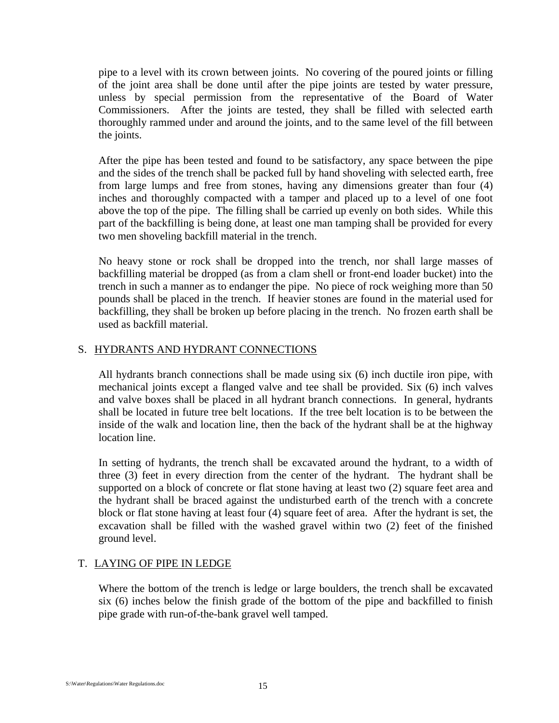pipe to a level with its crown between joints. No covering of the poured joints or filling of the joint area shall be done until after the pipe joints are tested by water pressure, unless by special permission from the representative of the Board of Water Commissioners. After the joints are tested, they shall be filled with selected earth thoroughly rammed under and around the joints, and to the same level of the fill between the joints.

After the pipe has been tested and found to be satisfactory, any space between the pipe and the sides of the trench shall be packed full by hand shoveling with selected earth, free from large lumps and free from stones, having any dimensions greater than four (4) inches and thoroughly compacted with a tamper and placed up to a level of one foot above the top of the pipe. The filling shall be carried up evenly on both sides. While this part of the backfilling is being done, at least one man tamping shall be provided for every two men shoveling backfill material in the trench.

No heavy stone or rock shall be dropped into the trench, nor shall large masses of backfilling material be dropped (as from a clam shell or front-end loader bucket) into the trench in such a manner as to endanger the pipe. No piece of rock weighing more than 50 pounds shall be placed in the trench. If heavier stones are found in the material used for backfilling, they shall be broken up before placing in the trench. No frozen earth shall be used as backfill material.

### S. HYDRANTS AND HYDRANT CONNECTIONS

All hydrants branch connections shall be made using six (6) inch ductile iron pipe, with mechanical joints except a flanged valve and tee shall be provided. Six (6) inch valves and valve boxes shall be placed in all hydrant branch connections. In general, hydrants shall be located in future tree belt locations. If the tree belt location is to be between the inside of the walk and location line, then the back of the hydrant shall be at the highway location line.

In setting of hydrants, the trench shall be excavated around the hydrant, to a width of three (3) feet in every direction from the center of the hydrant. The hydrant shall be supported on a block of concrete or flat stone having at least two (2) square feet area and the hydrant shall be braced against the undisturbed earth of the trench with a concrete block or flat stone having at least four (4) square feet of area. After the hydrant is set, the excavation shall be filled with the washed gravel within two (2) feet of the finished ground level.

### T. LAYING OF PIPE IN LEDGE

Where the bottom of the trench is ledge or large boulders, the trench shall be excavated six (6) inches below the finish grade of the bottom of the pipe and backfilled to finish pipe grade with run-of-the-bank gravel well tamped.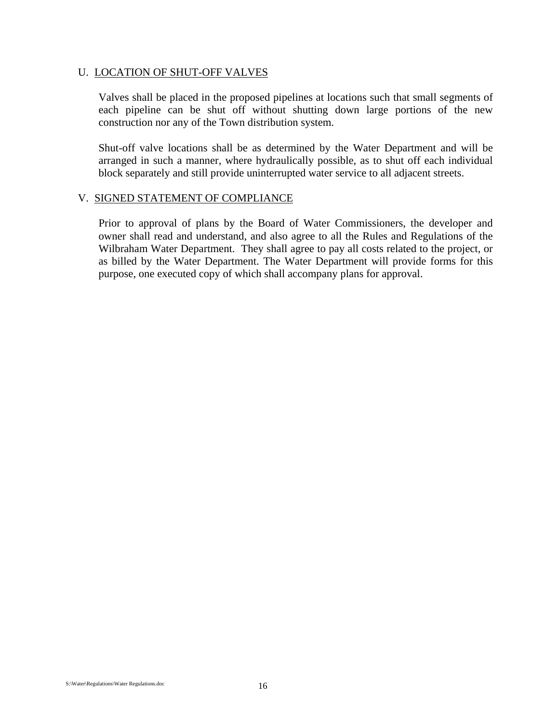#### U. LOCATION OF SHUT-OFF VALVES

Valves shall be placed in the proposed pipelines at locations such that small segments of each pipeline can be shut off without shutting down large portions of the new construction nor any of the Town distribution system.

Shut-off valve locations shall be as determined by the Water Department and will be arranged in such a manner, where hydraulically possible, as to shut off each individual block separately and still provide uninterrupted water service to all adjacent streets.

#### V. SIGNED STATEMENT OF COMPLIANCE

Prior to approval of plans by the Board of Water Commissioners, the developer and owner shall read and understand, and also agree to all the Rules and Regulations of the Wilbraham Water Department. They shall agree to pay all costs related to the project, or as billed by the Water Department. The Water Department will provide forms for this purpose, one executed copy of which shall accompany plans for approval.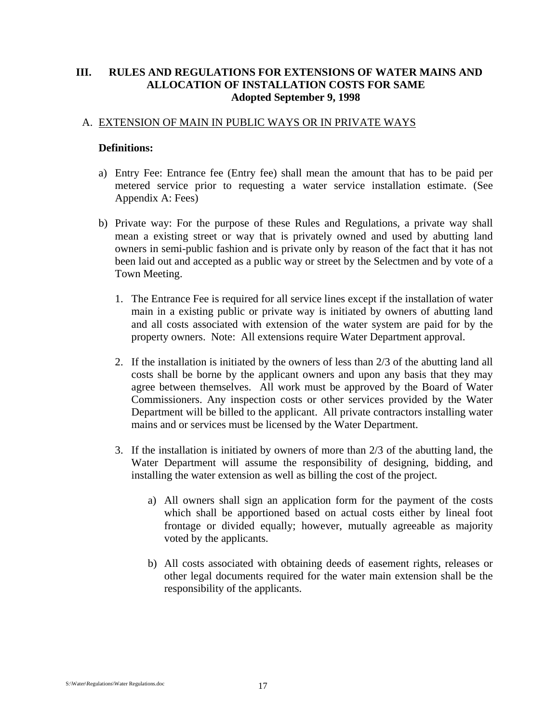#### **III. RULES AND REGULATIONS FOR EXTENSIONS OF WATER MAINS AND ALLOCATION OF INSTALLATION COSTS FOR SAME Adopted September 9, 1998**

#### A. EXTENSION OF MAIN IN PUBLIC WAYS OR IN PRIVATE WAYS

#### **Definitions:**

- a) Entry Fee: Entrance fee (Entry fee) shall mean the amount that has to be paid per metered service prior to requesting a water service installation estimate. (See Appendix A: Fees)
- b) Private way: For the purpose of these Rules and Regulations, a private way shall mean a existing street or way that is privately owned and used by abutting land owners in semi-public fashion and is private only by reason of the fact that it has not been laid out and accepted as a public way or street by the Selectmen and by vote of a Town Meeting.
	- 1. The Entrance Fee is required for all service lines except if the installation of water main in a existing public or private way is initiated by owners of abutting land and all costs associated with extension of the water system are paid for by the property owners. Note: All extensions require Water Department approval.
	- 2. If the installation is initiated by the owners of less than 2/3 of the abutting land all costs shall be borne by the applicant owners and upon any basis that they may agree between themselves. All work must be approved by the Board of Water Commissioners. Any inspection costs or other services provided by the Water Department will be billed to the applicant. All private contractors installing water mains and or services must be licensed by the Water Department.
	- 3. If the installation is initiated by owners of more than 2/3 of the abutting land, the Water Department will assume the responsibility of designing, bidding, and installing the water extension as well as billing the cost of the project.
		- a) All owners shall sign an application form for the payment of the costs which shall be apportioned based on actual costs either by lineal foot frontage or divided equally; however, mutually agreeable as majority voted by the applicants.
		- b) All costs associated with obtaining deeds of easement rights, releases or other legal documents required for the water main extension shall be the responsibility of the applicants.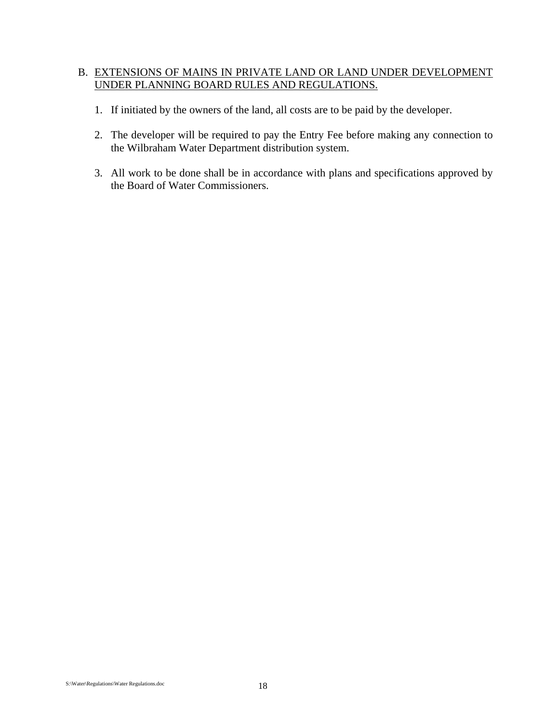#### B. EXTENSIONS OF MAINS IN PRIVATE LAND OR LAND UNDER DEVELOPMENT UNDER PLANNING BOARD RULES AND REGULATIONS.

- 1. If initiated by the owners of the land, all costs are to be paid by the developer.
- 2. The developer will be required to pay the Entry Fee before making any connection to the Wilbraham Water Department distribution system.
- 3. All work to be done shall be in accordance with plans and specifications approved by the Board of Water Commissioners.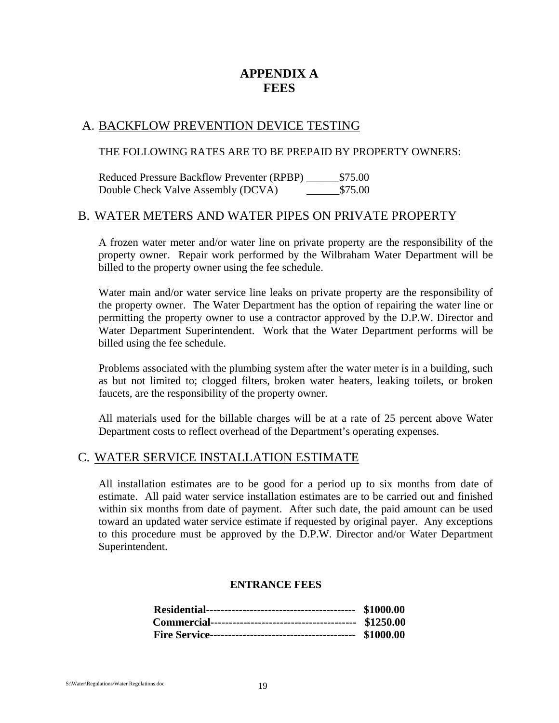## **APPENDIX A FEES**

### A. BACKFLOW PREVENTION DEVICE TESTING

#### THE FOLLOWING RATES ARE TO BE PREPAID BY PROPERTY OWNERS:

Reduced Pressure Backflow Preventer (RPBP)  $$75.00$ Double Check Valve Assembly (DCVA) \$75.00

#### B. WATER METERS AND WATER PIPES ON PRIVATE PROPERTY

A frozen water meter and/or water line on private property are the responsibility of the property owner. Repair work performed by the Wilbraham Water Department will be billed to the property owner using the fee schedule.

Water main and/or water service line leaks on private property are the responsibility of the property owner. The Water Department has the option of repairing the water line or permitting the property owner to use a contractor approved by the D.P.W. Director and Water Department Superintendent. Work that the Water Department performs will be billed using the fee schedule.

Problems associated with the plumbing system after the water meter is in a building, such as but not limited to; clogged filters, broken water heaters, leaking toilets, or broken faucets, are the responsibility of the property owner.

All materials used for the billable charges will be at a rate of 25 percent above Water Department costs to reflect overhead of the Department's operating expenses.

### C. WATER SERVICE INSTALLATION ESTIMATE

All installation estimates are to be good for a period up to six months from date of estimate. All paid water service installation estimates are to be carried out and finished within six months from date of payment. After such date, the paid amount can be used toward an updated water service estimate if requested by original payer. Any exceptions to this procedure must be approved by the D.P.W. Director and/or Water Department Superintendent.

#### **ENTRANCE FEES**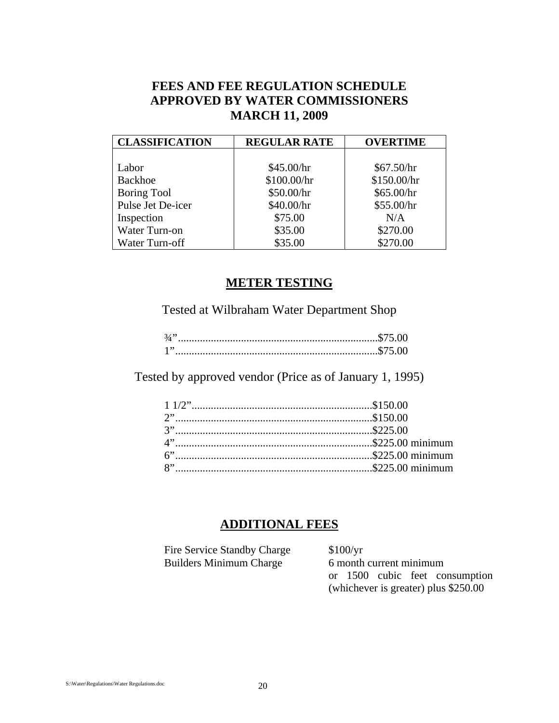## **FEES AND FEE REGULATION SCHEDULE APPROVED BY WATER COMMISSIONERS MARCH 11, 2009**

| <b>CLASSIFICATION</b> | <b>REGULAR RATE</b> | <b>OVERTIME</b> |
|-----------------------|---------------------|-----------------|
|                       |                     |                 |
| Labor                 | \$45.00/hr          | \$67.50/hr      |
| Backhoe               | \$100.00/hr         | \$150.00/hr     |
| <b>Boring Tool</b>    | \$50.00/hr          | \$65.00/hr      |
| Pulse Jet De-icer     | \$40.00/hr          | \$55.00/hr      |
| Inspection            | \$75.00             | N/A             |
| Water Turn-on         | \$35.00             | \$270.00        |
| Water Turn-off        | \$35.00             | \$270.00        |

## **METER TESTING**

Tested at Wilbraham Water Department Shop

Tested by approved vendor (Price as of January 1, 1995)

## **ADDITIONAL FEES**

| Fire Service Standby Charge    | \$100/yr                              |
|--------------------------------|---------------------------------------|
| <b>Builders Minimum Charge</b> | 6 month current minimum               |
|                                | or 1500 cubic feet consumption        |
|                                | (whichever is greater) plus $$250.00$ |
|                                |                                       |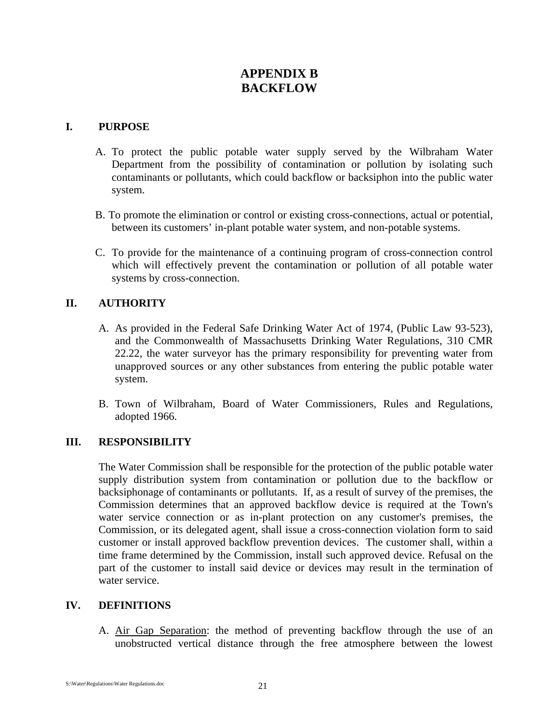## **APPENDIX B BACKFLOW**

#### **I. PURPOSE**

- A. To protect the public potable water supply served by the Wilbraham Water Department from the possibility of contamination or pollution by isolating such contaminants or pollutants, which could backflow or backsiphon into the public water system.
- B. To promote the elimination or control or existing cross-connections, actual or potential, between its customers' in-plant potable water system, and non-potable systems.
- C. To provide for the maintenance of a continuing program of cross-connection control which will effectively prevent the contamination or pollution of all potable water systems by cross-connection.

#### **II. AUTHORITY**

- A. As provided in the Federal Safe Drinking Water Act of 1974, (Public Law 93-523), and the Commonwealth of Massachusetts Drinking Water Regulations, 310 CMR 22.22, the water surveyor has the primary responsibility for preventing water from unapproved sources or any other substances from entering the public potable water system.
- B. Town of Wilbraham, Board of Water Commissioners, Rules and Regulations, adopted 1966.

#### **III. RESPONSIBILITY**

The Water Commission shall be responsible for the protection of the public potable water supply distribution system from contamination or pollution due to the backflow or backsiphonage of contaminants or pollutants. If, as a result of survey of the premises, the Commission determines that an approved backflow device is required at the Town's water service connection or as in-plant protection on any customer's premises, the Commission, or its delegated agent, shall issue a cross-connection violation form to said customer or install approved backflow prevention devices. The customer shall, within a time frame determined by the Commission, install such approved device. Refusal on the part of the customer to install said device or devices may result in the termination of water service.

#### **IV. DEFINITIONS**

A. Air Gap Separation: the method of preventing backflow through the use of an unobstructed vertical distance through the free atmosphere between the lowest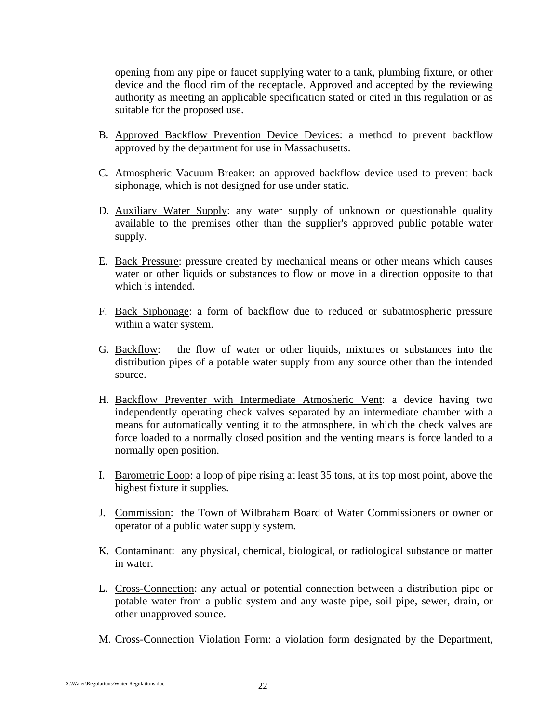opening from any pipe or faucet supplying water to a tank, plumbing fixture, or other device and the flood rim of the receptacle. Approved and accepted by the reviewing authority as meeting an applicable specification stated or cited in this regulation or as suitable for the proposed use.

- B. Approved Backflow Prevention Device Devices: a method to prevent backflow approved by the department for use in Massachusetts.
- C. Atmospheric Vacuum Breaker: an approved backflow device used to prevent back siphonage, which is not designed for use under static.
- D. Auxiliary Water Supply: any water supply of unknown or questionable quality available to the premises other than the supplier's approved public potable water supply.
- E. Back Pressure: pressure created by mechanical means or other means which causes water or other liquids or substances to flow or move in a direction opposite to that which is intended.
- F. Back Siphonage: a form of backflow due to reduced or subatmospheric pressure within a water system.
- G. Backflow: the flow of water or other liquids, mixtures or substances into the distribution pipes of a potable water supply from any source other than the intended source.
- H. Backflow Preventer with Intermediate Atmosheric Vent: a device having two independently operating check valves separated by an intermediate chamber with a means for automatically venting it to the atmosphere, in which the check valves are force loaded to a normally closed position and the venting means is force landed to a normally open position.
- I. Barometric Loop: a loop of pipe rising at least 35 tons, at its top most point, above the highest fixture it supplies.
- J. Commission: the Town of Wilbraham Board of Water Commissioners or owner or operator of a public water supply system.
- K. Contaminant: any physical, chemical, biological, or radiological substance or matter in water.
- L. Cross-Connection: any actual or potential connection between a distribution pipe or potable water from a public system and any waste pipe, soil pipe, sewer, drain, or other unapproved source.
- M. Cross-Connection Violation Form: a violation form designated by the Department,

S:\Water\Regulations\Water Regulations.doc 22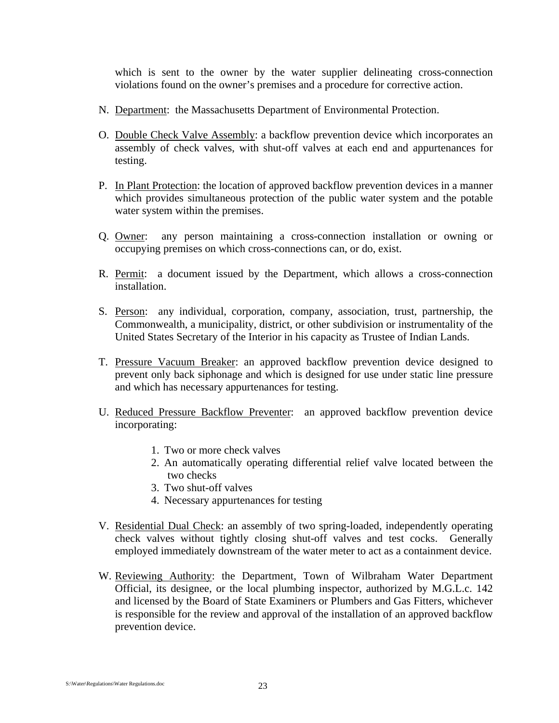which is sent to the owner by the water supplier delineating cross-connection violations found on the owner's premises and a procedure for corrective action.

- N. Department: the Massachusetts Department of Environmental Protection.
- O. Double Check Valve Assembly: a backflow prevention device which incorporates an assembly of check valves, with shut-off valves at each end and appurtenances for testing.
- P. In Plant Protection: the location of approved backflow prevention devices in a manner which provides simultaneous protection of the public water system and the potable water system within the premises.
- Q. Owner: any person maintaining a cross-connection installation or owning or occupying premises on which cross-connections can, or do, exist.
- R. Permit: a document issued by the Department, which allows a cross-connection installation.
- S. Person: any individual, corporation, company, association, trust, partnership, the Commonwealth, a municipality, district, or other subdivision or instrumentality of the United States Secretary of the Interior in his capacity as Trustee of Indian Lands.
- T. Pressure Vacuum Breaker: an approved backflow prevention device designed to prevent only back siphonage and which is designed for use under static line pressure and which has necessary appurtenances for testing.
- U. Reduced Pressure Backflow Preventer: an approved backflow prevention device incorporating:
	- 1. Two or more check valves
	- 2. An automatically operating differential relief valve located between the two checks
	- 3. Two shut-off valves
	- 4. Necessary appurtenances for testing
- V. Residential Dual Check: an assembly of two spring-loaded, independently operating check valves without tightly closing shut-off valves and test cocks. Generally employed immediately downstream of the water meter to act as a containment device.
- W. Reviewing Authority: the Department, Town of Wilbraham Water Department Official, its designee, or the local plumbing inspector, authorized by M.G.L.c. 142 and licensed by the Board of State Examiners or Plumbers and Gas Fitters, whichever is responsible for the review and approval of the installation of an approved backflow prevention device.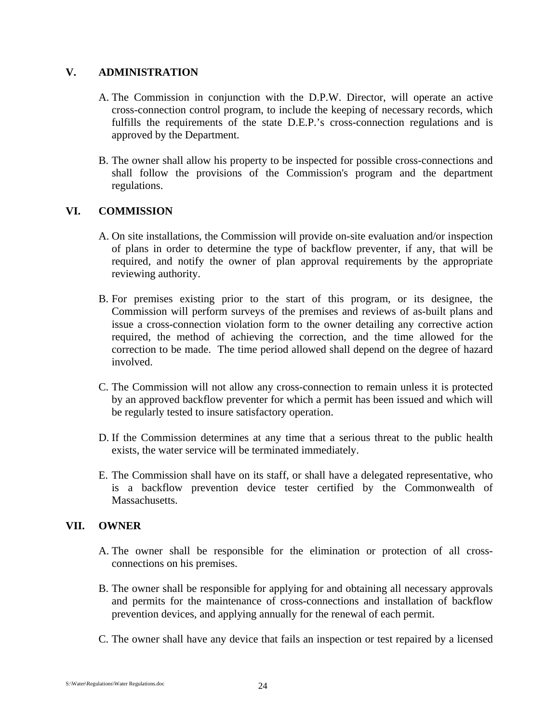#### **V. ADMINISTRATION**

- A. The Commission in conjunction with the D.P.W. Director, will operate an active cross-connection control program, to include the keeping of necessary records, which fulfills the requirements of the state D.E.P.'s cross-connection regulations and is approved by the Department.
- B. The owner shall allow his property to be inspected for possible cross-connections and shall follow the provisions of the Commission's program and the department regulations.

#### **VI. COMMISSION**

- A. On site installations, the Commission will provide on-site evaluation and/or inspection of plans in order to determine the type of backflow preventer, if any, that will be required, and notify the owner of plan approval requirements by the appropriate reviewing authority.
- B. For premises existing prior to the start of this program, or its designee, the Commission will perform surveys of the premises and reviews of as-built plans and issue a cross-connection violation form to the owner detailing any corrective action required, the method of achieving the correction, and the time allowed for the correction to be made. The time period allowed shall depend on the degree of hazard involved.
- C. The Commission will not allow any cross-connection to remain unless it is protected by an approved backflow preventer for which a permit has been issued and which will be regularly tested to insure satisfactory operation.
- D. If the Commission determines at any time that a serious threat to the public health exists, the water service will be terminated immediately.
- E. The Commission shall have on its staff, or shall have a delegated representative, who is a backflow prevention device tester certified by the Commonwealth of Massachusetts.

#### **VII. OWNER**

- A. The owner shall be responsible for the elimination or protection of all crossconnections on his premises.
- B. The owner shall be responsible for applying for and obtaining all necessary approvals and permits for the maintenance of cross-connections and installation of backflow prevention devices, and applying annually for the renewal of each permit.
- C. The owner shall have any device that fails an inspection or test repaired by a licensed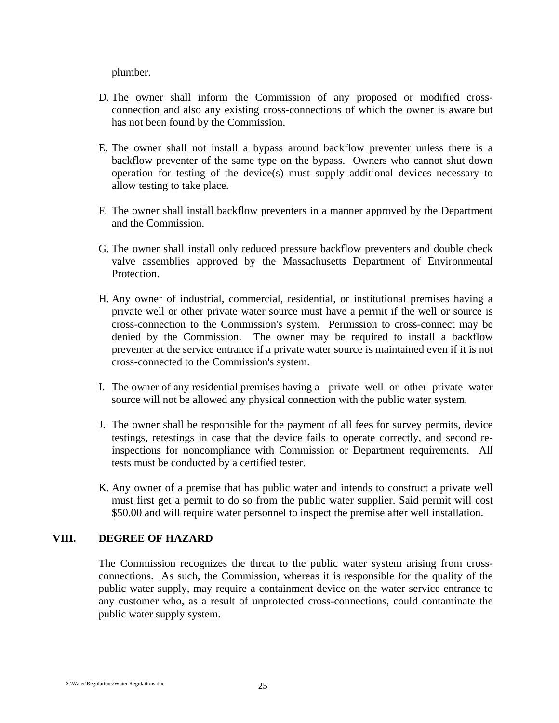plumber.

- D. The owner shall inform the Commission of any proposed or modified crossconnection and also any existing cross-connections of which the owner is aware but has not been found by the Commission.
- E. The owner shall not install a bypass around backflow preventer unless there is a backflow preventer of the same type on the bypass. Owners who cannot shut down operation for testing of the device(s) must supply additional devices necessary to allow testing to take place.
- F. The owner shall install backflow preventers in a manner approved by the Department and the Commission.
- G. The owner shall install only reduced pressure backflow preventers and double check valve assemblies approved by the Massachusetts Department of Environmental Protection.
- H. Any owner of industrial, commercial, residential, or institutional premises having a private well or other private water source must have a permit if the well or source is cross-connection to the Commission's system. Permission to cross-connect may be denied by the Commission. The owner may be required to install a backflow preventer at the service entrance if a private water source is maintained even if it is not cross-connected to the Commission's system.
- I. The owner of any residential premises having a private well or other private water source will not be allowed any physical connection with the public water system.
- J. The owner shall be responsible for the payment of all fees for survey permits, device testings, retestings in case that the device fails to operate correctly, and second reinspections for noncompliance with Commission or Department requirements. All tests must be conducted by a certified tester.
- K. Any owner of a premise that has public water and intends to construct a private well must first get a permit to do so from the public water supplier. Said permit will cost \$50.00 and will require water personnel to inspect the premise after well installation.

#### **VIII. DEGREE OF HAZARD**

The Commission recognizes the threat to the public water system arising from crossconnections. As such, the Commission, whereas it is responsible for the quality of the public water supply, may require a containment device on the water service entrance to any customer who, as a result of unprotected cross-connections, could contaminate the public water supply system.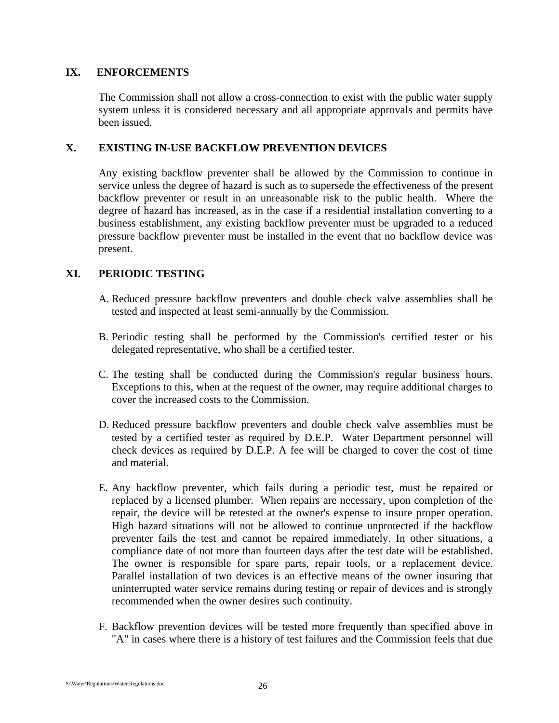#### **IX. ENFORCEMENTS**

The Commission shall not allow a cross-connection to exist with the public water supply system unless it is considered necessary and all appropriate approvals and permits have been issued.

#### **X. EXISTING IN-USE BACKFLOW PREVENTION DEVICES**

Any existing backflow preventer shall be allowed by the Commission to continue in service unless the degree of hazard is such as to supersede the effectiveness of the present backflow preventer or result in an unreasonable risk to the public health. Where the degree of hazard has increased, as in the case if a residential installation converting to a business establishment, any existing backflow preventer must be upgraded to a reduced pressure backflow preventer must be installed in the event that no backflow device was present.

#### **XI. PERIODIC TESTING**

- A. Reduced pressure backflow preventers and double check valve assemblies shall be tested and inspected at least semi-annually by the Commission.
- B. Periodic testing shall be performed by the Commission's certified tester or his delegated representative, who shall be a certified tester.
- C. The testing shall be conducted during the Commission's regular business hours. Exceptions to this, when at the request of the owner, may require additional charges to cover the increased costs to the Commission.
- D. Reduced pressure backflow preventers and double check valve assemblies must be tested by a certified tester as required by D.E.P. Water Department personnel will check devices as required by D.E.P. A fee will be charged to cover the cost of time and material.
- E. Any backflow preventer, which fails during a periodic test, must be repaired or replaced by a licensed plumber. When repairs are necessary, upon completion of the repair, the device will be retested at the owner's expense to insure proper operation. High hazard situations will not be allowed to continue unprotected if the backflow preventer fails the test and cannot be repaired immediately. In other situations, a compliance date of not more than fourteen days after the test date will be established. The owner is responsible for spare parts, repair tools, or a replacement device. Parallel installation of two devices is an effective means of the owner insuring that uninterrupted water service remains during testing or repair of devices and is strongly recommended when the owner desires such continuity.
- F. Backflow prevention devices will be tested more frequently than specified above in "A" in cases where there is a history of test failures and the Commission feels that due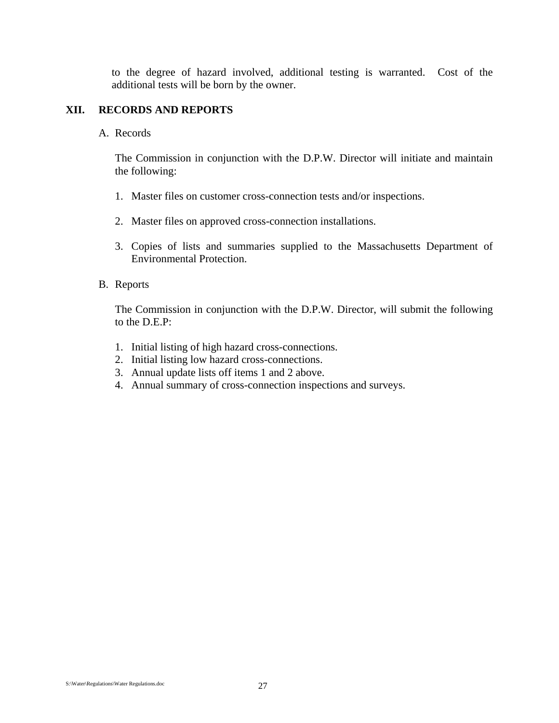to the degree of hazard involved, additional testing is warranted. Cost of the additional tests will be born by the owner.

#### **XII. RECORDS AND REPORTS**

#### A. Records

The Commission in conjunction with the D.P.W. Director will initiate and maintain the following:

- 1. Master files on customer cross-connection tests and/or inspections.
- 2. Master files on approved cross-connection installations.
- 3. Copies of lists and summaries supplied to the Massachusetts Department of Environmental Protection.

#### B. Reports

The Commission in conjunction with the D.P.W. Director, will submit the following to the D.E.P:

- 1. Initial listing of high hazard cross-connections.
- 2. Initial listing low hazard cross-connections.
- 3. Annual update lists off items 1 and 2 above.
- 4. Annual summary of cross-connection inspections and surveys.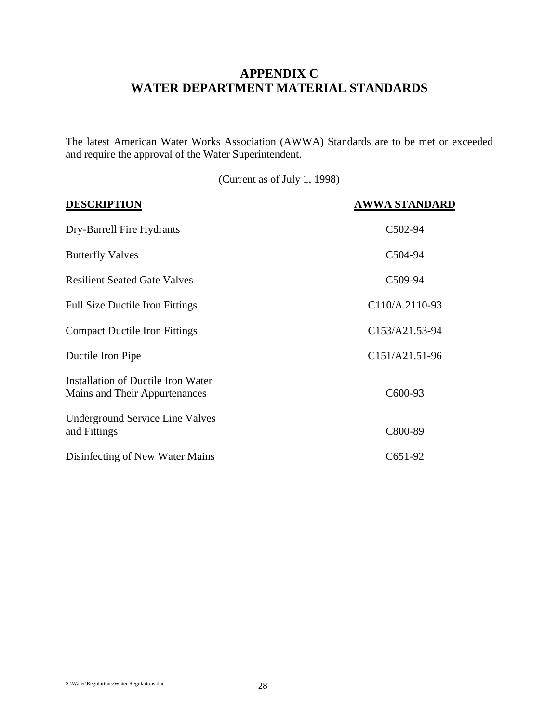## **APPENDIX C WATER DEPARTMENT MATERIAL STANDARDS**

The latest American Water Works Association (AWWA) Standards are to be met or exceeded and require the approval of the Water Superintendent.

(Current as of July 1, 1998)

| <b>DESCRIPTION</b>                                                  | <b>AWWA STANDARD</b> |
|---------------------------------------------------------------------|----------------------|
| Dry-Barrell Fire Hydrants                                           | C502-94              |
| <b>Butterfly Valves</b>                                             | C504-94              |
| <b>Resilient Seated Gate Valves</b>                                 | C509-94              |
| <b>Full Size Ductile Iron Fittings</b>                              | C110/A.2110-93       |
| <b>Compact Ductile Iron Fittings</b>                                | C153/A21.53-94       |
| Ductile Iron Pipe                                                   | C151/A21.51-96       |
| Installation of Ductile Iron Water<br>Mains and Their Appurtenances | C600-93              |
| <b>Underground Service Line Valves</b><br>and Fittings              | C800-89              |
| Disinfecting of New Water Mains                                     | $C651-92$            |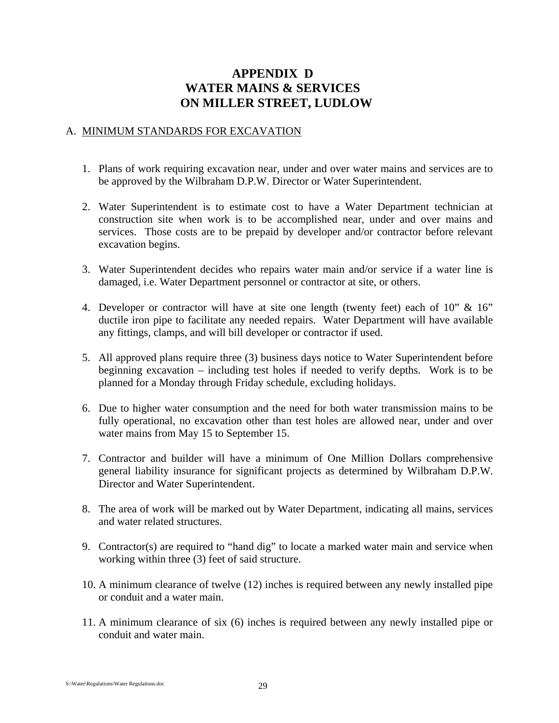## **APPENDIX D WATER MAINS & SERVICES ON MILLER STREET, LUDLOW**

#### A. MINIMUM STANDARDS FOR EXCAVATION

- 1. Plans of work requiring excavation near, under and over water mains and services are to be approved by the Wilbraham D.P.W. Director or Water Superintendent.
- 2. Water Superintendent is to estimate cost to have a Water Department technician at construction site when work is to be accomplished near, under and over mains and services. Those costs are to be prepaid by developer and/or contractor before relevant excavation begins.
- 3. Water Superintendent decides who repairs water main and/or service if a water line is damaged, i.e. Water Department personnel or contractor at site, or others.
- 4. Developer or contractor will have at site one length (twenty feet) each of 10" & 16" ductile iron pipe to facilitate any needed repairs. Water Department will have available any fittings, clamps, and will bill developer or contractor if used.
- 5. All approved plans require three (3) business days notice to Water Superintendent before beginning excavation – including test holes if needed to verify depths. Work is to be planned for a Monday through Friday schedule, excluding holidays.
- 6. Due to higher water consumption and the need for both water transmission mains to be fully operational, no excavation other than test holes are allowed near, under and over water mains from May 15 to September 15.
- 7. Contractor and builder will have a minimum of One Million Dollars comprehensive general liability insurance for significant projects as determined by Wilbraham D.P.W. Director and Water Superintendent.
- 8. The area of work will be marked out by Water Department, indicating all mains, services and water related structures.
- 9. Contractor(s) are required to "hand dig" to locate a marked water main and service when working within three (3) feet of said structure.
- 10. A minimum clearance of twelve (12) inches is required between any newly installed pipe or conduit and a water main.
- 11. A minimum clearance of six (6) inches is required between any newly installed pipe or conduit and water main.

S:\Water\Regulations\Water Regulations.doc 29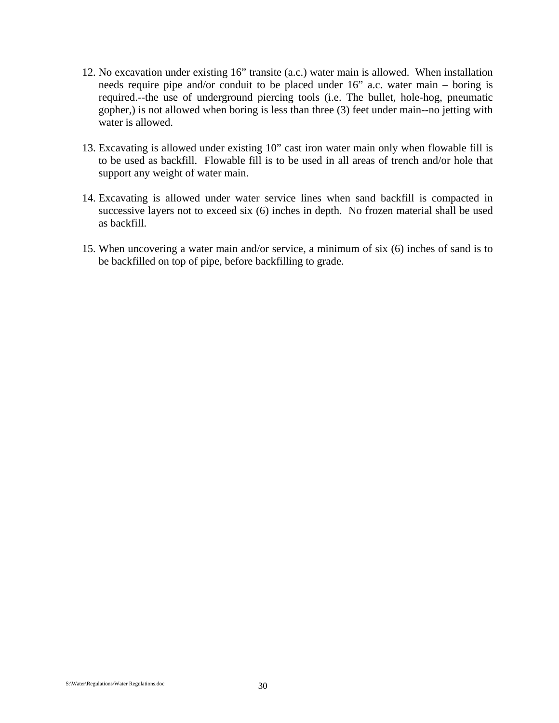- 12. No excavation under existing 16" transite (a.c.) water main is allowed. When installation needs require pipe and/or conduit to be placed under 16" a.c. water main – boring is required.--the use of underground piercing tools (i.e. The bullet, hole-hog, pneumatic gopher,) is not allowed when boring is less than three (3) feet under main--no jetting with water is allowed.
- 13. Excavating is allowed under existing 10" cast iron water main only when flowable fill is to be used as backfill. Flowable fill is to be used in all areas of trench and/or hole that support any weight of water main.
- 14. Excavating is allowed under water service lines when sand backfill is compacted in successive layers not to exceed six (6) inches in depth. No frozen material shall be used as backfill.
- 15. When uncovering a water main and/or service, a minimum of six (6) inches of sand is to be backfilled on top of pipe, before backfilling to grade.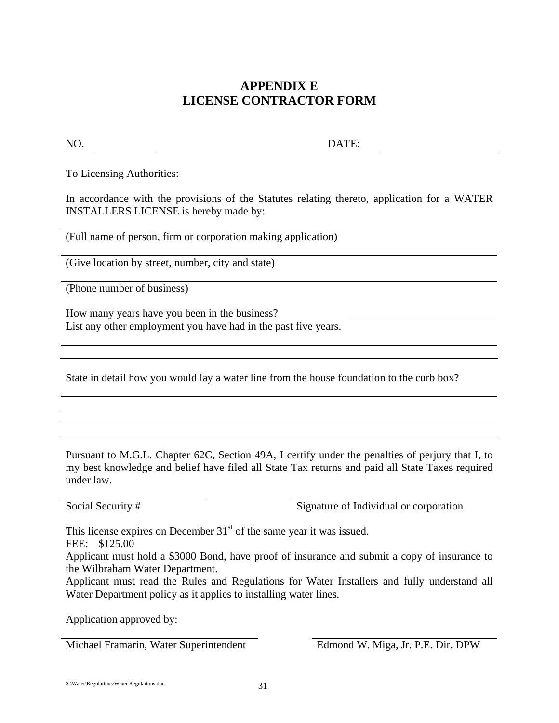## **APPENDIX E LICENSE CONTRACTOR FORM**

NO. DATE:

To Licensing Authorities:

In accordance with the provisions of the Statutes relating thereto, application for a WATER INSTALLERS LICENSE is hereby made by:

(Full name of person, firm or corporation making application)

(Give location by street, number, city and state)

(Phone number of business)

How many years have you been in the business? List any other employment you have had in the past five years.

State in detail how you would lay a water line from the house foundation to the curb box?

Pursuant to M.G.L. Chapter 62C, Section 49A, I certify under the penalties of perjury that I, to my best knowledge and belief have filed all State Tax returns and paid all State Taxes required under law.

Social Security # Signature of Individual or corporation

This license expires on December  $31<sup>st</sup>$  of the same year it was issued.

FEE: \$125.00

Applicant must hold a \$3000 Bond, have proof of insurance and submit a copy of insurance to the Wilbraham Water Department.

Applicant must read the Rules and Regulations for Water Installers and fully understand all Water Department policy as it applies to installing water lines.

Application approved by:

Michael Framarin, Water Superintendent Edmond W. Miga, Jr. P.E. Dir. DPW